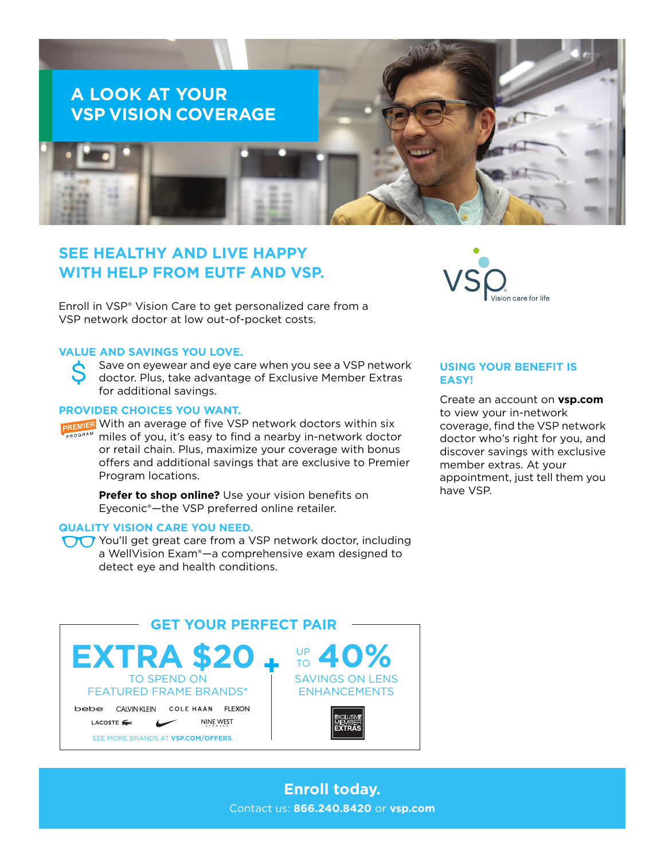

# **SEE HEALTHY AND LIVE HAPPY WITH HELP FROM EUTF AND VSP.**

Enroll in VSP® Vision Care to get personalized care from a VSP network doctor at low out-of-pocket costs.

### **VALUE AND SAVINGS YOU LOVE.**

 $\boldsymbol{\zeta}$ Save on eyewear and eye care when you see a VSP network doctor. Plus, take advantage of Exclusive Member Extras for additional savings.

#### **PROVIDER CHOICES YOU WANT.**

**DREMIER** With an average of five VSP network doctors within six miles of you, it's easy to find a nearby in-network doctor or retail chain. Plus, maximize your coverage with bonus offers and additional savings that are exclusive to Premier Program locations.

> **Prefer to shop online?** Use your vision benefits on Eyeconic®—the VSP preferred online retailer.

## **QUALITY VISION CARE YOU NEED.**

You'll get great care from a VSP network doctor, including a WellVision Exam®—a comprehensive exam designed to detect eye and health conditions.



#### **USING YOUR BENEFIT IS EASY!**

Create an account on **[vsp.com](http://www.vsp.com)** to view your in-network coverage, find the VSP network doctor who's right for you, and discover savings with exclusive member extras. At your appointment, just tell them you have VSP.



## **Enroll today.** Contact us: **866.240.8420** or **[vsp.com](http://www.vsp.com)**